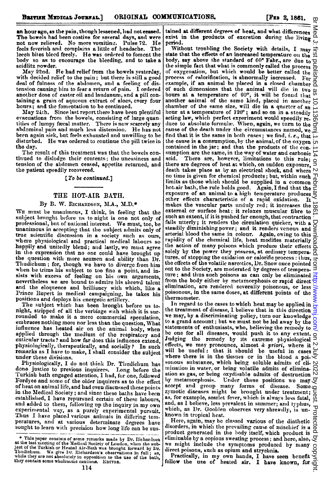an hour ago, as the pain, though lessened, had not ceased.<br>The bowels had been costive for several days, and were The bowels had been costive for several days, and were not now relieved. No more vomitinz. Pulse 72. He feels feverish and complains a little of headache. The leech bites bleed freely. He was ordered to foment the body so as to encourage the bleeding, and to take a seidlitz powder.

May 22nd. He bad relief from the bowels yesterday, with decided relief to the pain; but there is still a good deal of fulness of the abdomen, and a feeling of dis. tension causing him to fear a return of pain. I ordered another dose of castor oil and laudanum, and a pill containing a grain of aqueous extract of aloes, every four hours; and the fomentation to be continued.

May 24th. Since last report there have been plentiful evacuations from the bowels, consisting of large quan-<br>tities of lumpy fæcal matter. There is now scarcely any abdominal pain and much less distension. He has not been again sick, but feels exhausted and unwilling to be disturbed. He was ordered to continue the pill twice in the day.

The result of this treatment was that the bowels continued to dislodge their contents; the uneasiness and tension of the abdomen ceased, appetite returned, and the patient speedily recovered.

### [To be continued.]

#### THE IIOT-AIR BATH.

#### By B. W. RICHARDSON, M.A., M.D.\*

WE must be unauimous, <sup>I</sup> think, in feeling that the subject brought before us to night is one not only of professional, but of national interest. We must, too, be unanimous in accepting that the subject admits only of true scientific discussion in a society such as ours, where physiological and practical medical labours so happily and unitedly blend; and lastly, we must agree in the expression that no one could have brought up the question with more acumen and ability than Dr. Thudichum; for, though we have to diverge from him when he trims his subject to too fine a point, and insists with excess of feeling on his own arguments, nevertheless we are bound to admire his shrewd talent and the eloquence and brilliancy with which, like a Prince Rupert in medical campaigning, he takes his positions and deploys his energetic artillery.

The subject which has been brought before us to. night, stripped of all the verbiage with which it is surrounded to make it a mere commercial speculation, embraces nothing more nor less than the question, What influence has heated air on the animal body, when applied through the medium of the respiratory and cuticular tracts? and how far does this influence extend, physiologically, therapeutically, and socially? In such remarks as I have to make, I shall consider the subject under these divisions.<br>Physiologically, I do not think Dr. Thudichum has

done justice to previous inquirers. Long before the Turkish bath engaged attention, 1 had, for one, followed Fordyce and some of the older inquirers as to the effect of heat on animal life, and had even discussed these points in the Medical Society; and since these baths have been established, I have repursued certain of these labours, and added to them, following up the inquiry in my own experimental way, as a purely experimental pursuit. Thus I have placed various animals in differing temperatures, and at various determinate degrees have sought to learn with precision how long life can be sus-

tained at different degrees of heat, and what differences  $\overline{\oplus}$ exist in the products of excretion during the living period.

Without troubling the Society with details, I may state that the effects of an increased temperature on the body, say above the standard of  $60^{\circ}$  Fahr., are due to  $\overline{Q}$ the simple fact that what is commonly called the process  $\frac{E}{C}$ of oxygenation, but which would be better called the  $\frac{a}{\overline{a}}$ process of calorification, is abnormally increased. For  $\frac{1}{2}$  example, if an animal be placed in a closed chamber  $\frac{1}{2}$ example, if an animal be placed in <sup>a</sup> closed chamber of such dimensions that the animal will die in two hours at a temperature of 60°, it will be found that another animal of the same kind, placed in antother chamber of the same size, will die in a quarter of an hour at a temperature of 120°; and so on in a steadily acting law, which perfect experiment would speedily re.  $\stackrel{\sim}{\infty}$ duce to absolute formulae. When, again, we turn to the cause of the death under the circumstances named, we find that it is the same in both cases; we find,  $i. e$ ., that the cause is a consumption, by the animal, of the oxygen  $\sigma$ contained in the jar; and that the products of the con. sumption are the same, in the way of water and carbonic  $\frac{1}{n}$  acid. There are, however, limitations to this rule: sumption are the same, in the same of the case.<br>acid. There are, however, limitations to this rule;  $\overline{O}$ <br>there are degrees of heat at which, on sudden exposure, death takes place as by an electrical shock, and where  $\sim$ no time is given for chemical products; but, within such  $\frac{1}{0}$ limits as those which should be supplied in a common  $\frac{6}{5}$ hot-air bath, the rule holds good. Again, <sup>I</sup> find that the exposure of an animal to a high temperature produces other effects characteristic of a rapid oxidation. It makes the vascular parts unduly red; it increases the external or surface heat; it relaxes muscular fibre to such an extent, if it is pushed far enough, that contraction fails utterly; it renders the circulation quicker, with a  $\Box$ steadily diminishing power; and it renders venous and  $\geq$ arterial blood the same in colour. Again, owing to this rapidity of the chemical life, heat modifies materially  $\overline{Q}$ the action of many poisons which produce their effects  $\Omega$ solely by the power they possess, at ordinary tempera- 8 tures, of stopping the oxidation or calorific process: thus, the effects of the volatile narcotics, Dr. Snow once pointed out to the Society, are moderated by degrees of tempera.  $\exists$ ture; and thus such poisons as can only be eliminated  $\exists$ from the body either by metamorphosis or rapid direct  $\overline{\mathbf{G}}$ elimination, are rendered severally poisonous, or less poisonous, in the same doses, at different points of the thermometer. Br Med J. first published as 10.1136/bmj.1.5.114 on 2 February 1861. Downloaded from <http://www.bmj.com/> on 2 July 2022 by guest. Protected by copyright.

In regard to the cases to which heat may be applied in  $\frac{1}{C}$ the treatment of disease, I believe that in this direction  $\frac{3}{2}$ we may, hy a discriminating policy, turn our knowledge to a grand account; but we must not be led away by the  $\frac{1}{2}$  statements of onthus interests in the  $\frac{1}{2}$ statements of enthusiasts, who, believing the remedy to  $\exists$ be one for all diseases, would push it to any extent. Jndging the remedy by its extreme physiological effects, we may pronounce, almost <sup>a</sup>' priori, where it will be useful: that it should be useful in cases where there is in the tissues or in the blood a poi- $\leq$ sonous substance, which being soluble admits of eli- N mination in water, or being volatile admits of eliminaation as gas, or being  $\alpha$ ydisable admits of destruction  $\sim$ <br>by metamorphosis. Under these positions we may  $\sigma$ Under these positions we may  $\mathcal G$ accept and group many forms of disease. Some zymotic diseases might be brought under treatment; as, for example, scarlet fever, which is always less fatal,  $\ddot{\omega}$ and, as I believe, less prevalent in summer; and typhus, which, as Dr. Goolden observes very shrewdly, is unknown in tropical heat.

Here, again, may be classed various of the diathetie Here, again, may be character valued of mischief is a  $\vec{\sigma}$  disorders, in which the prevailing cause of mischief is a  $\vec{\sigma}$ product generated in the body itself, which product is eliminable by a copious sweating process; and here, also,  $\gtrsim$ we might include the symptoms produced by many  $\alpha$ direct poisons, such as opium and strychnia.

Practically, in my own hands, I have seen benefit follow the use of heated air. I have known, for

ā

<sup>\*</sup> This paper consists of some remarks made by Dr. Richardson<br>at the last meeting of the Medical Society of Loudon, when the sub-<br>ject of the Turkish or Heated Air-Bath was brought forward by Dr.<br>Thudichum. We give Dr. Ric